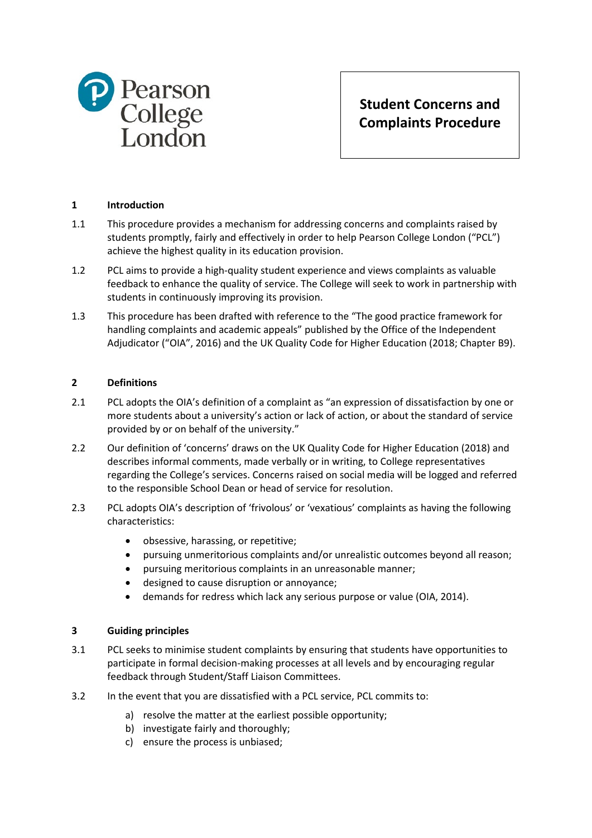

**Student Concerns and Complaints Procedure**

# **1 Introduction**

- 1.1 This procedure provides a mechanism for addressing concerns and complaints raised by students promptly, fairly and effectively in order to help Pearson College London ("PCL") achieve the highest quality in its education provision.
- 1.2 PCL aims to provide a high-quality student experience and views complaints as valuable feedback to enhance the quality of service. The College will seek to work in partnership with students in continuously improving its provision.
- 1.3 This procedure has been drafted with reference to the "The good practice framework for handling complaints and academic appeals" published by the Office of the Independent Adjudicator ("OIA", 2016) and the UK Quality Code for Higher Education (2018; Chapter B9).

#### **2 Definitions**

- 2.1 PCL adopts the OIA's definition of a complaint as "an expression of dissatisfaction by one or more students about a university's action or lack of action, or about the standard of service provided by or on behalf of the university."
- 2.2 Our definition of 'concerns' draws on the UK Quality Code for Higher Education (2018) and describes informal comments, made verbally or in writing, to College representatives regarding the College's services. Concerns raised on social media will be logged and referred to the responsible School Dean or head of service for resolution.
- 2.3 PCL adopts OIA's description of 'frivolous' or 'vexatious' complaints as having the following characteristics:
	- obsessive, harassing, or repetitive;
	- pursuing unmeritorious complaints and/or unrealistic outcomes beyond all reason;
	- pursuing meritorious complaints in an unreasonable manner;
	- designed to cause disruption or annoyance;
	- demands for redress which lack any serious purpose or value (OIA, 2014).

#### **3 Guiding principles**

- 3.1 PCL seeks to minimise student complaints by ensuring that students have opportunities to participate in formal decision-making processes at all levels and by encouraging regular feedback through Student/Staff Liaison Committees.
- 3.2 In the event that you are dissatisfied with a PCL service, PCL commits to:
	- a) resolve the matter at the earliest possible opportunity;
	- b) investigate fairly and thoroughly;
	- c) ensure the process is unbiased;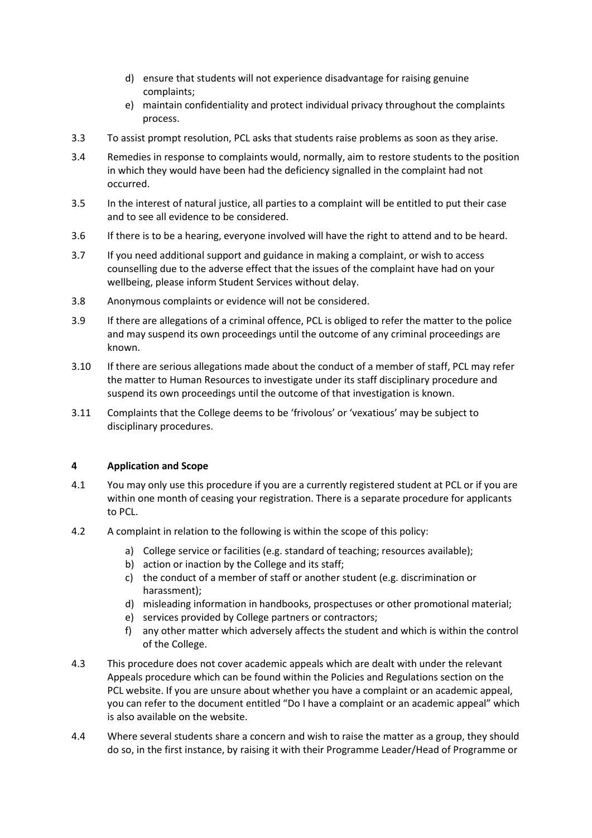- d) ensure that students will not experience disadvantage for raising genuine complaints;
- e) maintain confidentiality and protect individual privacy throughout the complaints process.
- 3.3 To assist prompt resolution, PCL asks that students raise problems as soon as they arise.
- 3.4 Remedies in response to complaints would, normally, aim to restore students to the position in which they would have been had the deficiency signalled in the complaint had not occurred.
- 3.5 In the interest of natural justice, all parties to a complaint will be entitled to put their case and to see all evidence to be considered.
- 3.6 If there is to be a hearing, everyone involved will have the right to attend and to be heard.
- 3.7 If you need additional support and guidance in making a complaint, or wish to access counselling due to the adverse effect that the issues of the complaint have had on your wellbeing, please inform Student Services without delay.
- 3.8 Anonymous complaints or evidence will not be considered.
- 3.9 If there are allegations of a criminal offence, PCL is obliged to refer the matter to the police and may suspend its own proceedings until the outcome of any criminal proceedings are known.
- 3.10 If there are serious allegations made about the conduct of a member of staff, PCL may refer the matter to Human Resources to investigate under its staff disciplinary procedure and suspend its own proceedings until the outcome of that investigation is known.
- 3.11 Complaints that the College deems to be 'frivolous' or 'vexatious' may be subject to disciplinary procedures.

# **4 Application and Scope**

- 4.1 You may only use this procedure if you are a currently registered student at PCL or if you are within one month of ceasing your registration. There is a separate procedure for applicants to PCL.
- 4.2 A complaint in relation to the following is within the scope of this policy:
	- a) College service or facilities (e.g. standard of teaching; resources available);
	- b) action or inaction by the College and its staff;
	- c) the conduct of a member of staff or another student (e.g. discrimination or harassment);
	- d) misleading information in handbooks, prospectuses or other promotional material;
	- e) services provided by College partners or contractors;
	- f) any other matter which adversely affects the student and which is within the control of the College.
- 4.3 This procedure does not cover academic appeals which are dealt with under the relevant Appeals procedure which can be found within the Policies and Regulations section on the PCL website. If you are unsure about whether you have a complaint or an academic appeal, you can refer to the document entitled "Do I have a complaint or an academic appeal" which is also available on the website.
- 4.4 Where several students share a concern and wish to raise the matter as a group, they should do so, in the first instance, by raising it with their Programme Leader/Head of Programme or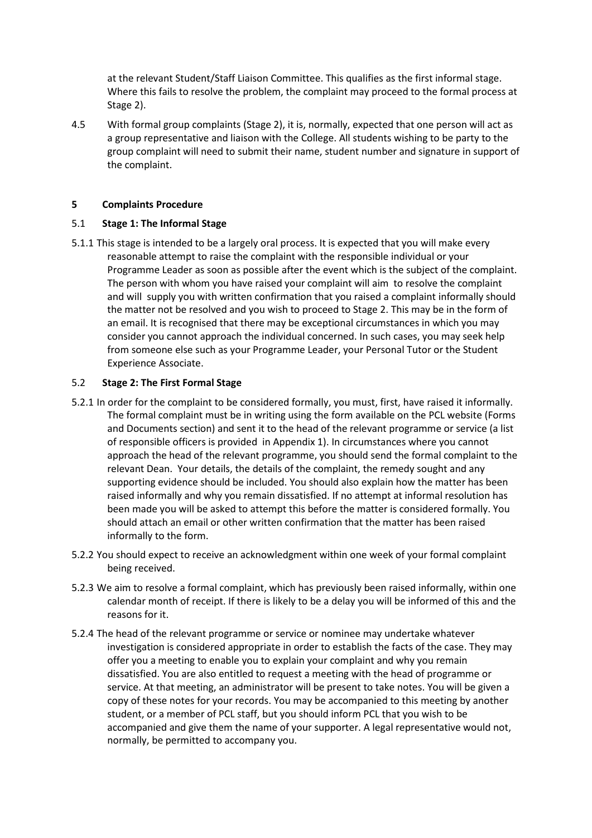at the relevant Student/Staff Liaison Committee. This qualifies as the first informal stage. Where this fails to resolve the problem, the complaint may proceed to the formal process at Stage 2).

4.5 With formal group complaints (Stage 2), it is, normally, expected that one person will act as a group representative and liaison with the College. All students wishing to be party to the group complaint will need to submit their name, student number and signature in support of the complaint.

#### **5 Complaints Procedure**

# 5.1 **Stage 1: The Informal Stage**

5.1.1 This stage is intended to be a largely oral process. It is expected that you will make every reasonable attempt to raise the complaint with the responsible individual or your Programme Leader as soon as possible after the event which is the subject of the complaint. The person with whom you have raised your complaint will aim to resolve the complaint and will supply you with written confirmation that you raised a complaint informally should the matter not be resolved and you wish to proceed to Stage 2. This may be in the form of an email. It is recognised that there may be exceptional circumstances in which you may consider you cannot approach the individual concerned. In such cases, you may seek help from someone else such as your Programme Leader, your Personal Tutor or the Student Experience Associate.

# 5.2 **Stage 2: The First Formal Stage**

- 5.2.1 In order for the complaint to be considered formally, you must, first, have raised it informally. The formal complaint must be in writing using the form available on the PCL website (Forms and Documents section) and sent it to the head of the relevant programme or service (a list of responsible officers is provided in Appendix 1). In circumstances where you cannot approach the head of the relevant programme, you should send the formal complaint to the relevant Dean. Your details, the details of the complaint, the remedy sought and any supporting evidence should be included. You should also explain how the matter has been raised informally and why you remain dissatisfied. If no attempt at informal resolution has been made you will be asked to attempt this before the matter is considered formally. You should attach an email or other written confirmation that the matter has been raised informally to the form.
- 5.2.2 You should expect to receive an acknowledgment within one week of your formal complaint being received.
- 5.2.3 We aim to resolve a formal complaint, which has previously been raised informally, within one calendar month of receipt. If there is likely to be a delay you will be informed of this and the reasons for it.
- 5.2.4 The head of the relevant programme or service or nominee may undertake whatever investigation is considered appropriate in order to establish the facts of the case. They may offer you a meeting to enable you to explain your complaint and why you remain dissatisfied. You are also entitled to request a meeting with the head of programme or service. At that meeting, an administrator will be present to take notes. You will be given a copy of these notes for your records. You may be accompanied to this meeting by another student, or a member of PCL staff, but you should inform PCL that you wish to be accompanied and give them the name of your supporter. A legal representative would not, normally, be permitted to accompany you.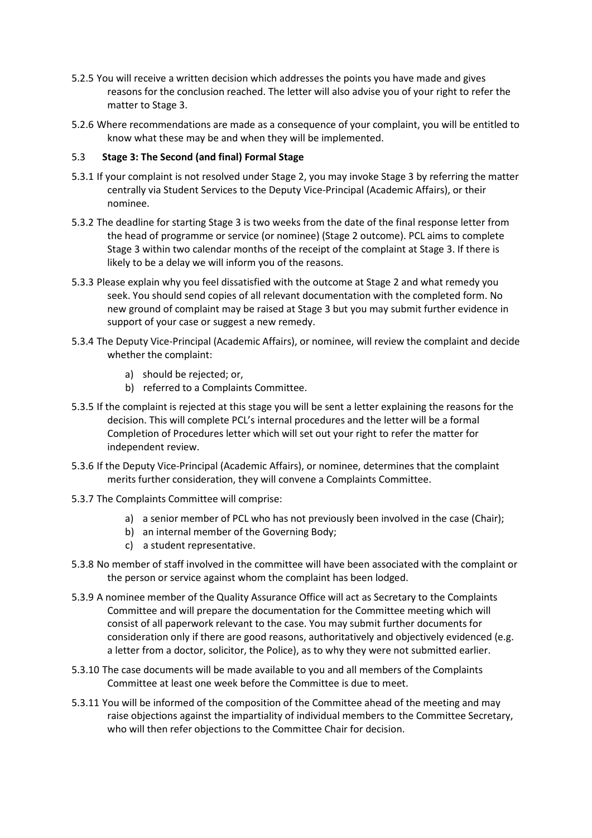- 5.2.5 You will receive a written decision which addresses the points you have made and gives reasons for the conclusion reached. The letter will also advise you of your right to refer the matter to Stage 3.
- 5.2.6 Where recommendations are made as a consequence of your complaint, you will be entitled to know what these may be and when they will be implemented.

#### 5.3 **Stage 3: The Second (and final) Formal Stage**

- 5.3.1 If your complaint is not resolved under Stage 2, you may invoke Stage 3 by referring the matter centrally via Student Services to the Deputy Vice-Principal (Academic Affairs), or their nominee.
- 5.3.2 The deadline for starting Stage 3 is two weeks from the date of the final response letter from the head of programme or service (or nominee) (Stage 2 outcome). PCL aims to complete Stage 3 within two calendar months of the receipt of the complaint at Stage 3. If there is likely to be a delay we will inform you of the reasons.
- 5.3.3 Please explain why you feel dissatisfied with the outcome at Stage 2 and what remedy you seek. You should send copies of all relevant documentation with the completed form. No new ground of complaint may be raised at Stage 3 but you may submit further evidence in support of your case or suggest a new remedy.
- 5.3.4 The Deputy Vice-Principal (Academic Affairs), or nominee, will review the complaint and decide whether the complaint:
	- a) should be rejected; or,
	- b) referred to a Complaints Committee.
- 5.3.5 If the complaint is rejected at this stage you will be sent a letter explaining the reasons for the decision. This will complete PCL's internal procedures and the letter will be a formal Completion of Procedures letter which will set out your right to refer the matter for independent review.
- 5.3.6 If the Deputy Vice-Principal (Academic Affairs), or nominee, determines that the complaint merits further consideration, they will convene a Complaints Committee.
- 5.3.7 The Complaints Committee will comprise:
	- a) a senior member of PCL who has not previously been involved in the case (Chair);
	- b) an internal member of the Governing Body;
	- c) a student representative.
- 5.3.8 No member of staff involved in the committee will have been associated with the complaint or the person or service against whom the complaint has been lodged.
- 5.3.9 A nominee member of the Quality Assurance Office will act as Secretary to the Complaints Committee and will prepare the documentation for the Committee meeting which will consist of all paperwork relevant to the case. You may submit further documents for consideration only if there are good reasons, authoritatively and objectively evidenced (e.g. a letter from a doctor, solicitor, the Police), as to why they were not submitted earlier.
- 5.3.10 The case documents will be made available to you and all members of the Complaints Committee at least one week before the Committee is due to meet.
- 5.3.11 You will be informed of the composition of the Committee ahead of the meeting and may raise objections against the impartiality of individual members to the Committee Secretary, who will then refer objections to the Committee Chair for decision.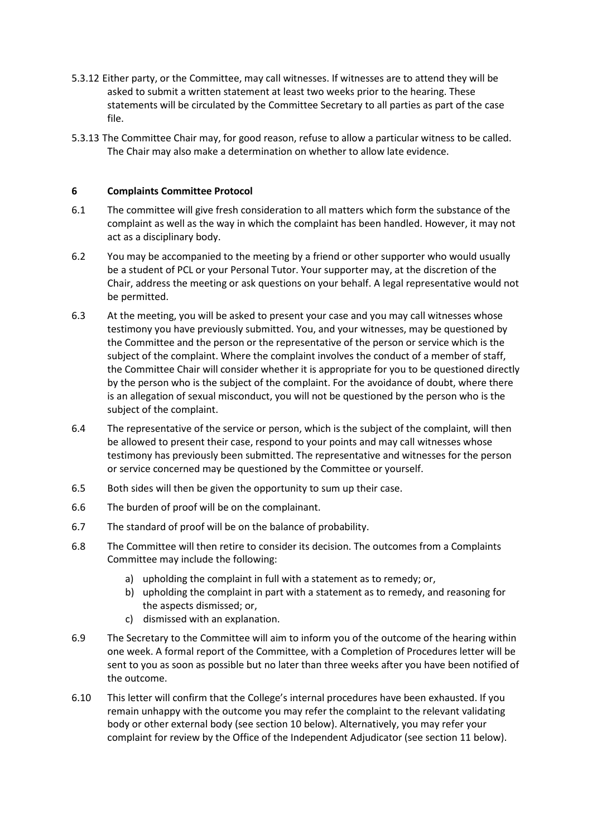- 5.3.12 Either party, or the Committee, may call witnesses. If witnesses are to attend they will be asked to submit a written statement at least two weeks prior to the hearing. These statements will be circulated by the Committee Secretary to all parties as part of the case file.
- 5.3.13 The Committee Chair may, for good reason, refuse to allow a particular witness to be called. The Chair may also make a determination on whether to allow late evidence.

# **6 Complaints Committee Protocol**

- 6.1 The committee will give fresh consideration to all matters which form the substance of the complaint as well as the way in which the complaint has been handled. However, it may not act as a disciplinary body.
- 6.2 You may be accompanied to the meeting by a friend or other supporter who would usually be a student of PCL or your Personal Tutor. Your supporter may, at the discretion of the Chair, address the meeting or ask questions on your behalf. A legal representative would not be permitted.
- 6.3 At the meeting, you will be asked to present your case and you may call witnesses whose testimony you have previously submitted. You, and your witnesses, may be questioned by the Committee and the person or the representative of the person or service which is the subject of the complaint. Where the complaint involves the conduct of a member of staff, the Committee Chair will consider whether it is appropriate for you to be questioned directly by the person who is the subject of the complaint. For the avoidance of doubt, where there is an allegation of sexual misconduct, you will not be questioned by the person who is the subject of the complaint.
- 6.4 The representative of the service or person, which is the subject of the complaint, will then be allowed to present their case, respond to your points and may call witnesses whose testimony has previously been submitted. The representative and witnesses for the person or service concerned may be questioned by the Committee or yourself.
- 6.5 Both sides will then be given the opportunity to sum up their case.
- 6.6 The burden of proof will be on the complainant.
- 6.7 The standard of proof will be on the balance of probability.
- 6.8 The Committee will then retire to consider its decision. The outcomes from a Complaints Committee may include the following:
	- a) upholding the complaint in full with a statement as to remedy; or,
	- b) upholding the complaint in part with a statement as to remedy, and reasoning for the aspects dismissed; or,
	- c) dismissed with an explanation.
- 6.9 The Secretary to the Committee will aim to inform you of the outcome of the hearing within one week. A formal report of the Committee, with a Completion of Procedures letter will be sent to you as soon as possible but no later than three weeks after you have been notified of the outcome.
- 6.10 This letter will confirm that the College's internal procedures have been exhausted. If you remain unhappy with the outcome you may refer the complaint to the relevant validating body or other external body (see section 10 below). Alternatively, you may refer your complaint for review by the Office of the Independent Adjudicator (see section 11 below).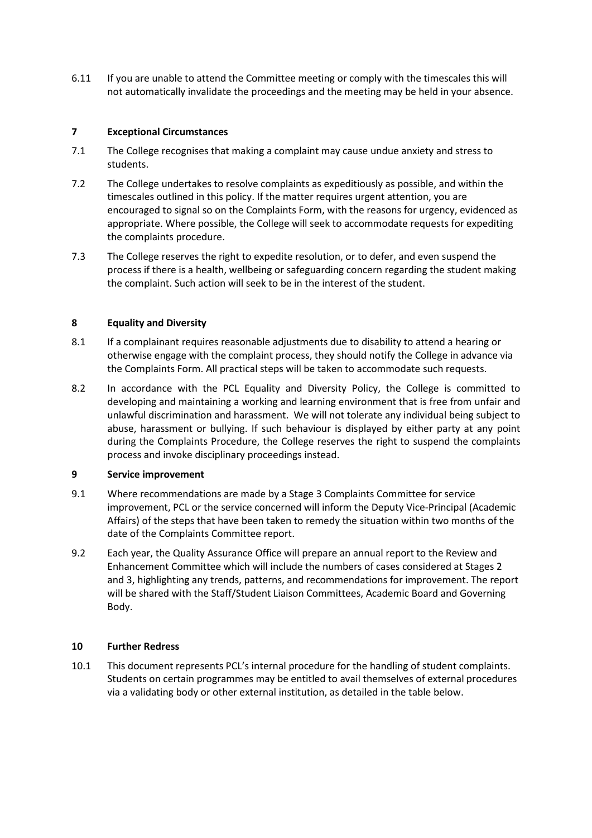6.11 If you are unable to attend the Committee meeting or comply with the timescales this will not automatically invalidate the proceedings and the meeting may be held in your absence.

# **7 Exceptional Circumstances**

- 7.1 The College recognises that making a complaint may cause undue anxiety and stress to students.
- 7.2 The College undertakes to resolve complaints as expeditiously as possible, and within the timescales outlined in this policy. If the matter requires urgent attention, you are encouraged to signal so on the Complaints Form, with the reasons for urgency, evidenced as appropriate. Where possible, the College will seek to accommodate requests for expediting the complaints procedure.
- 7.3 The College reserves the right to expedite resolution, or to defer, and even suspend the process if there is a health, wellbeing or safeguarding concern regarding the student making the complaint. Such action will seek to be in the interest of the student.

# **8 Equality and Diversity**

- 8.1 If a complainant requires reasonable adjustments due to disability to attend a hearing or otherwise engage with the complaint process, they should notify the College in advance via the Complaints Form. All practical steps will be taken to accommodate such requests.
- 8.2 In accordance with the PCL Equality and Diversity Policy, the College is committed to developing and maintaining a working and learning environment that is free from unfair and unlawful discrimination and harassment. We will not tolerate any individual being subject to abuse, harassment or bullying. If such behaviour is displayed by either party at any point during the Complaints Procedure, the College reserves the right to suspend the complaints process and invoke disciplinary proceedings instead.

#### **9 Service improvement**

- 9.1 Where recommendations are made by a Stage 3 Complaints Committee for service improvement, PCL or the service concerned will inform the Deputy Vice-Principal (Academic Affairs) of the steps that have been taken to remedy the situation within two months of the date of the Complaints Committee report.
- 9.2 Each year, the Quality Assurance Office will prepare an annual report to the Review and Enhancement Committee which will include the numbers of cases considered at Stages 2 and 3, highlighting any trends, patterns, and recommendations for improvement. The report will be shared with the Staff/Student Liaison Committees, Academic Board and Governing Body.

#### **10 Further Redress**

10.1 This document represents PCL's internal procedure for the handling of student complaints. Students on certain programmes may be entitled to avail themselves of external procedures via a validating body or other external institution, as detailed in the table below.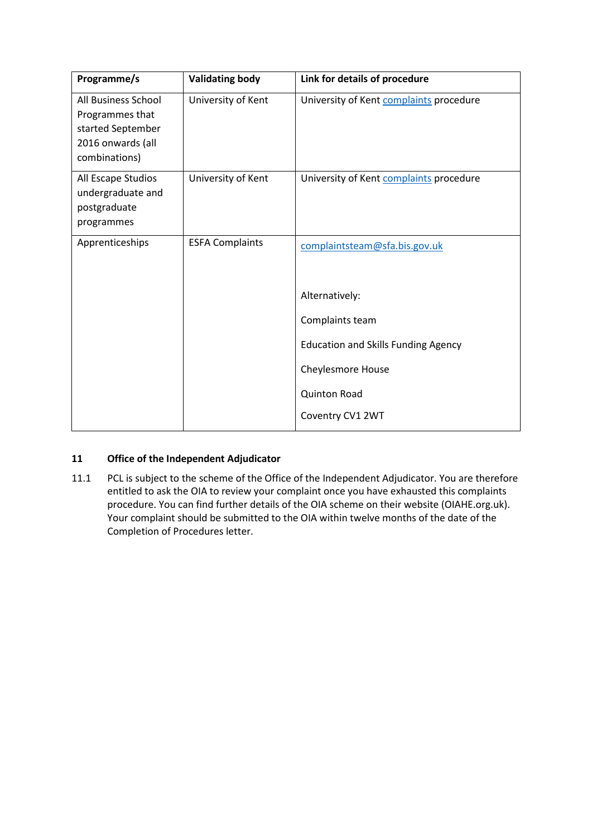| Programme/s                                                                                              | <b>Validating body</b> | Link for details of procedure              |
|----------------------------------------------------------------------------------------------------------|------------------------|--------------------------------------------|
| <b>All Business School</b><br>Programmes that<br>started September<br>2016 onwards (all<br>combinations) | University of Kent     | University of Kent complaints procedure    |
| All Escape Studios<br>undergraduate and<br>postgraduate<br>programmes                                    | University of Kent     | University of Kent complaints procedure    |
| Apprenticeships                                                                                          | <b>ESFA Complaints</b> | complaintsteam@sfa.bis.gov.uk              |
|                                                                                                          |                        | Alternatively:                             |
|                                                                                                          |                        | Complaints team                            |
|                                                                                                          |                        | <b>Education and Skills Funding Agency</b> |
|                                                                                                          |                        | <b>Cheylesmore House</b>                   |
|                                                                                                          |                        | <b>Quinton Road</b>                        |
|                                                                                                          |                        | Coventry CV1 2WT                           |

# **11 Office of the Independent Adjudicator**

11.1 PCL is subject to the scheme of the Office of the Independent Adjudicator. You are therefore entitled to ask the OIA to review your complaint once you have exhausted this complaints procedure. You can find further details of the OIA scheme on their website (OIAHE.org.uk). Your complaint should be submitted to the OIA within twelve months of the date of the Completion of Procedures letter.